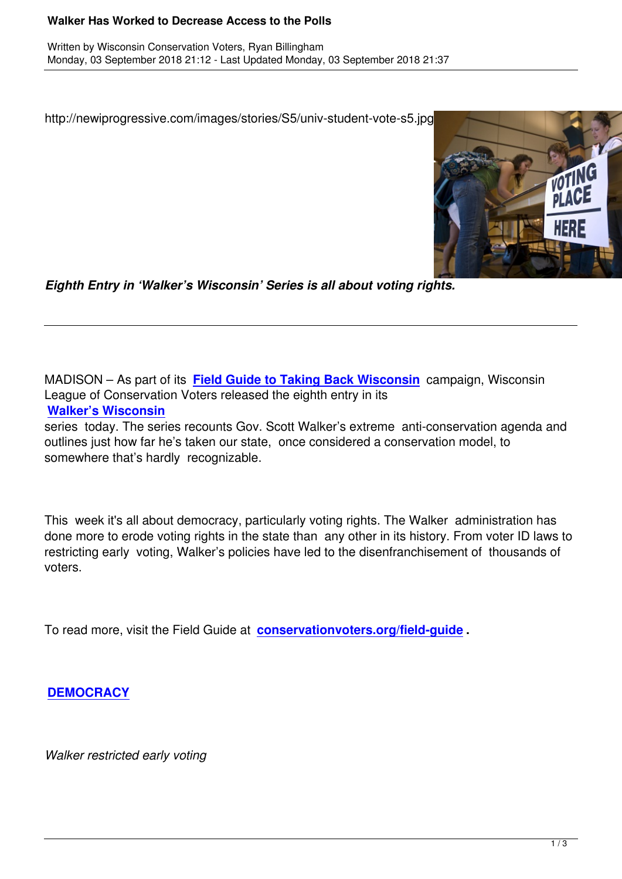http://newiprogressive.com/images/stories/S5/univ-student-vote-s5.jpg



*Eighth Entry in 'Walker's Wisconsin' Series is all about voting rights.*

MADISON – As part of its **Field Guide to Taking Back Wisconsin** campaign, Wisconsin League of Conservation Voters released the eighth entry in its **Walker's Wisconsin**

series today. The series r[ecounts Gov. Scott Walker's extreme anti](http://conservationvoters.org/field-guide)-conservation agenda and outlines just how far he's taken our state, once considered a conservation model, to [somewhere that's hard](http://conservationvoters.org/field-guide/walkers-wisconsin/)ly recognizable.

This week it's all about democracy, particularly voting rights. The Walker administration has done more to erode voting rights in the state than any other in its history. From voter ID laws to restricting early voting, Walker's policies have led to the disenfranchisement of thousands of voters.

To read more, visit the Field Guide at **conservationvoters.org/field-guide .**

**DEMOCRACY**

*[Walker restricte](http://conservationvoters.org/field-guide/walkers-wisconsin/walkers-wisconsin-democracy/)d early voting*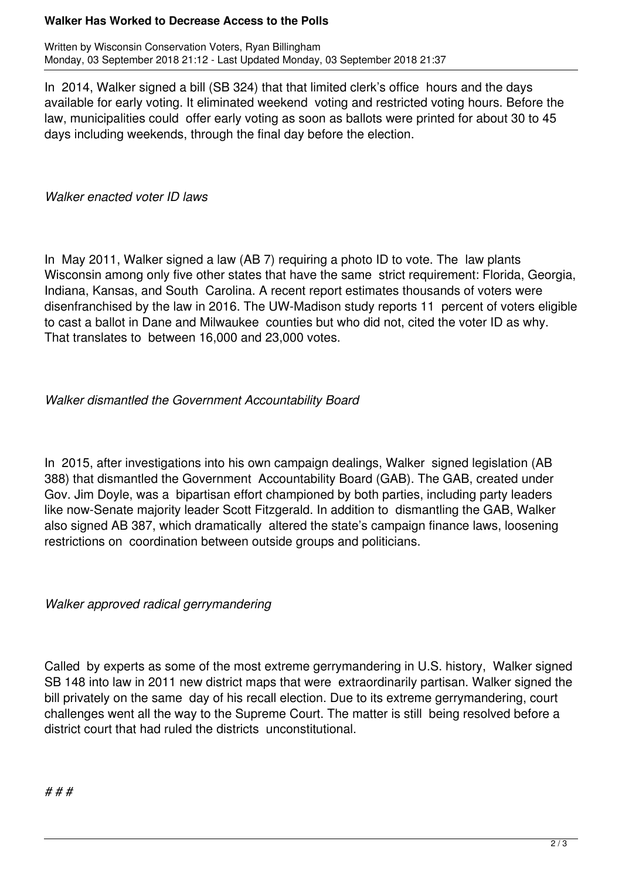## **Walker Has Worked to Decrease Access to the Polls**

Written by Wisconsin Conservation Voters, Ryan Billingham Monday, 03 September 2018 21:12 - Last Updated Monday, 03 September 2018 21:37

In 2014, Walker signed a bill (SB 324) that that limited clerk's office hours and the days available for early voting. It eliminated weekend voting and restricted voting hours. Before the law, municipalities could offer early voting as soon as ballots were printed for about 30 to 45 days including weekends, through the final day before the election.

*Walker enacted voter ID laws* 

In May 2011, Walker signed a law (AB 7) requiring a photo ID to vote. The law plants Wisconsin among only five other states that have the same strict requirement: Florida, Georgia, Indiana, Kansas, and South Carolina. A recent report estimates thousands of voters were disenfranchised by the law in 2016. The UW-Madison study reports 11 percent of voters eligible to cast a ballot in Dane and Milwaukee counties but who did not, cited the voter ID as why. That translates to between 16,000 and 23,000 votes.

## *Walker dismantled the Government Accountability Board*

In 2015, after investigations into his own campaign dealings, Walker signed legislation (AB 388) that dismantled the Government Accountability Board (GAB). The GAB, created under Gov. Jim Doyle, was a bipartisan effort championed by both parties, including party leaders like now-Senate majority leader Scott Fitzgerald. In addition to dismantling the GAB, Walker also signed AB 387, which dramatically altered the state's campaign finance laws, loosening restrictions on coordination between outside groups and politicians.

*Walker approved radical gerrymandering*

Called by experts as some of the most extreme gerrymandering in U.S. history, Walker signed SB 148 into law in 2011 new district maps that were extraordinarily partisan. Walker signed the bill privately on the same day of his recall election. Due to its extreme gerrymandering, court challenges went all the way to the Supreme Court. The matter is still being resolved before a district court that had ruled the districts unconstitutional.